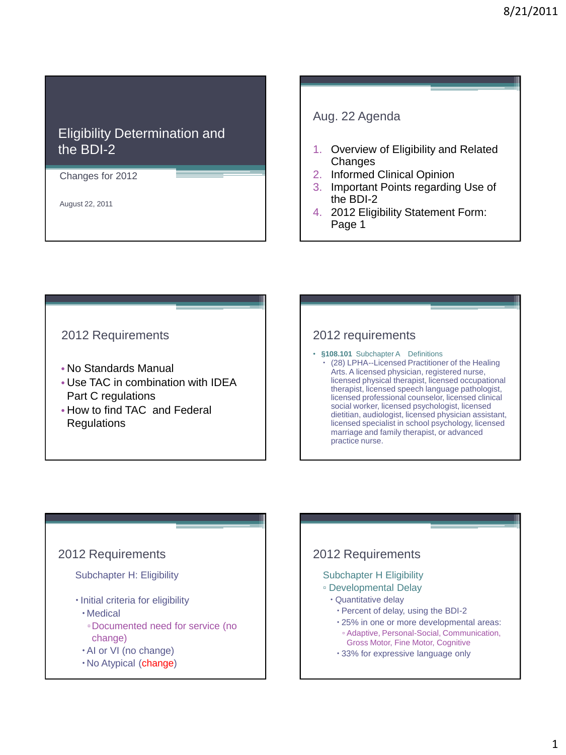### Eligibility Determination and the BDI-2

Changes for 2012

August 22, 2011

Aug. 22 Agenda

- 1. Overview of Eligibility and Related Changes
- 2. Informed Clinical Opinion
- 3. Important Points regarding Use of the BDI-2
- 4. 2012 Eligibility Statement Form: Page 1

### 2012 Requirements

- No Standards Manual
- Use TAC in combination with IDEA Part C regulations
- How to find TAC and Federal Regulations

### 2012 requirements

- **§108.101** Subchapter A Definitions
	- (28) LPHA--Licensed Practitioner of the Healing Arts. A licensed physician, registered nurse, licensed physical therapist, licensed occupational therapist, licensed speech language pathologist, licensed professional counselor, licensed clinical social worker, licensed psychologist, licensed dietitian, audiologist, licensed physician assistant, licensed specialist in school psychology, licensed marriage and family therapist, or advanced practice nurse.

# 2012 Requirements

### Subchapter H: Eligibility

- · Initial criteria for eligibility
	- Medical
	- ▫Documented need for service (no change)
- AI or VI (no change)
- No Atypical (change)

# 2012 Requirements

#### Subchapter H Eligibility

- Developmental Delay
	- Quantitative delay
		- Percent of delay, using the BDI-2
		- 25% in one or more developmental areas:
		- Adaptive, Personal-Social, Communication, Gross Motor, Fine Motor, Cognitive
		- 33% for expressive language only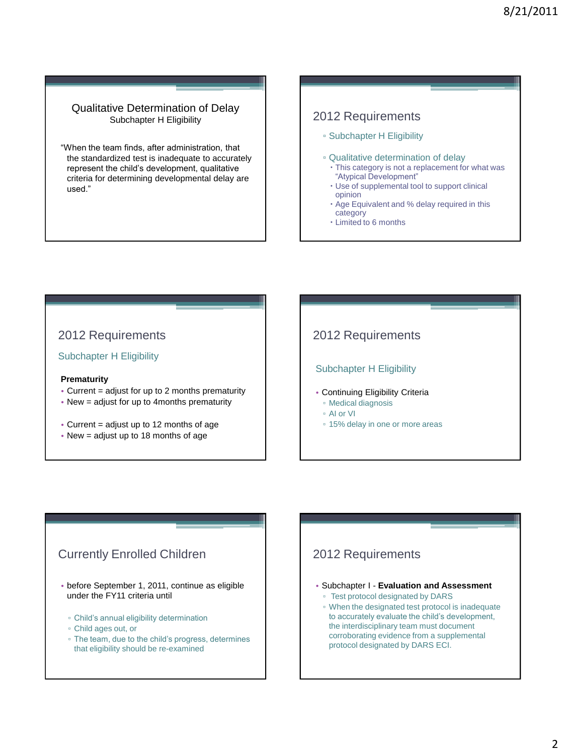#### Qualitative Determination of Delay Subchapter H Eligibility

"When the team finds, after administration, that the standardized test is inadequate to accurately represent the child's development, qualitative criteria for determining developmental delay are used."

### 2012 Requirements

- Subchapter H Eligibility
- Qualitative determination of delay
	- This category is not a replacement for what was "Atypical Development"
	- Use of supplemental tool to support clinical opinion
	- Age Equivalent and % delay required in this category
	- Limited to 6 months

### 2012 Requirements

Subchapter H Eligibility

#### **Prematurity**

- Current = adjust for up to 2 months prematurity
- New = adjust for up to 4months prematurity
- Current = adjust up to 12 months of age
- New = adjust up to 18 months of age

### 2012 Requirements

#### Subchapter H Eligibility

- Continuing Eligibility Criteria
	- Medical diagnosis
	- AI or VI
	- 15% delay in one or more areas

### Currently Enrolled Children

- before September 1, 2011, continue as eligible under the FY11 criteria until
	- Child's annual eligibility determination
	- Child ages out, or
	- The team, due to the child's progress, determines that eligibility should be re-examined

### 2012 Requirements

- Subchapter I **Evaluation and Assessment**
	- Test protocol designated by DARS
	- When the designated test protocol is inadequate to accurately evaluate the child's development, the interdisciplinary team must document corroborating evidence from a supplemental protocol designated by DARS ECI.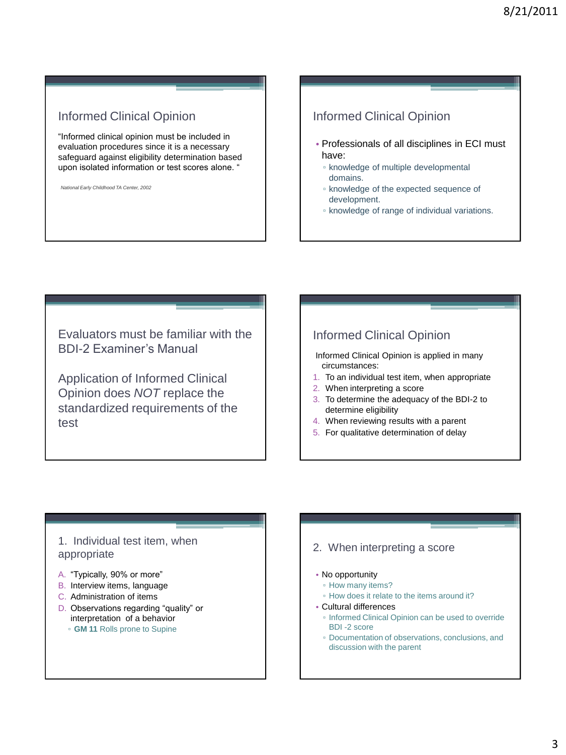### Informed Clinical Opinion

"Informed clinical opinion must be included in evaluation procedures since it is a necessary safeguard against eligibility determination based upon isolated information or test scores alone. "

*National Early Childhood TA Center, 2002*

### Informed Clinical Opinion

- Professionals of all disciplines in ECI must have:
	- knowledge of multiple developmental domains.
	- knowledge of the expected sequence of development.
	- knowledge of range of individual variations.

Evaluators must be familiar with the BDI-2 Examiner's Manual

Application of Informed Clinical Opinion does *NOT* replace the standardized requirements of the test

### Informed Clinical Opinion

Informed Clinical Opinion is applied in many circumstances:

- 1. To an individual test item, when appropriate
- 2. When interpreting a score
- 3. To determine the adequacy of the BDI-2 to determine eligibility
- 4. When reviewing results with a parent
- 5. For qualitative determination of delay

### 1. Individual test item, when appropriate

- A. "Typically, 90% or more"
- B. Interview items, language
- C. Administration of items
- D. Observations regarding "quality" or interpretation of a behavior
	- **GM 11** Rolls prone to Supine

#### 2. When interpreting a score

#### • No opportunity

- How many items?
- How does it relate to the items around it?

#### • Cultural differences

- Informed Clinical Opinion can be used to override BDI -2 score
- Documentation of observations, conclusions, and discussion with the parent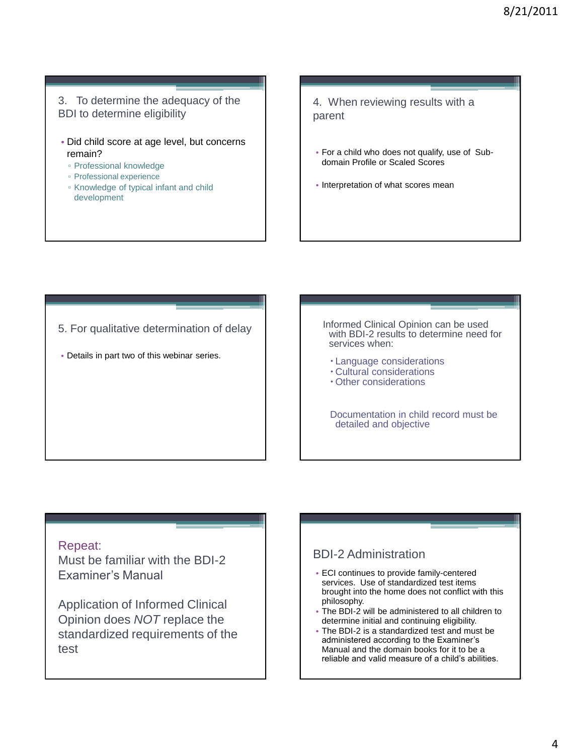3. To determine the adequacy of the BDI to determine eligibility

- Did child score at age level, but concerns remain?
	- Professional knowledge
	- Professional experience
	- Knowledge of typical infant and child development

4. When reviewing results with a parent

- For a child who does not qualify, use of Subdomain Profile or Scaled Scores
- Interpretation of what scores mean

5. For qualitative determination of delay

• Details in part two of this webinar series.

Informed Clinical Opinion can be used with BDI-2 results to determine need for services when:

- Language considerations
- Cultural considerations
- Other considerations

Documentation in child record must be detailed and objective

#### Repeat:

Must be familiar with the BDI-2 Examiner's Manual

Application of Informed Clinical Opinion does *NOT* replace the standardized requirements of the test

### BDI-2 Administration

- ECI continues to provide family-centered services. Use of standardized test items brought into the home does not conflict with this philosophy.
- The BDI-2 will be administered to all children to determine initial and continuing eligibility.
- The BDI-2 is a standardized test and must be administered according to the Examiner's Manual and the domain books for it to be a reliable and valid measure of a child's abilities.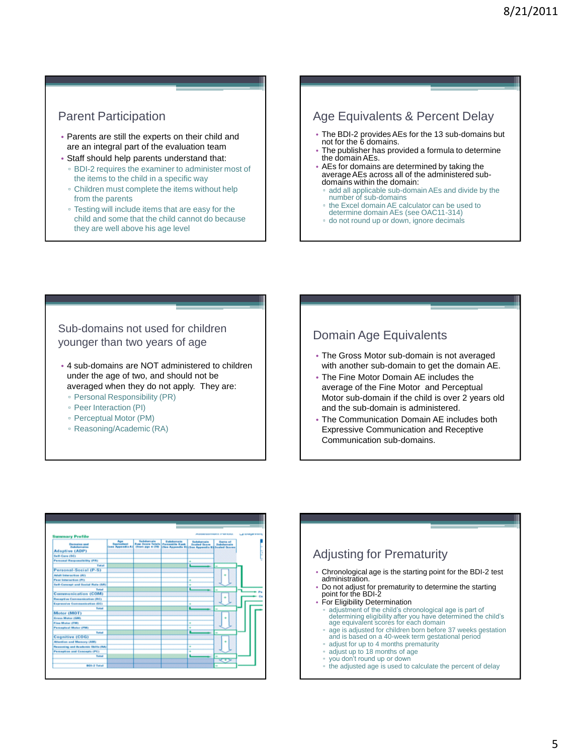### Parent Participation

- Parents are still the experts on their child and are an integral part of the evaluation team • Staff should help parents understand that:
- BDI-2 requires the examiner to administer most of the items to the child in a specific way
- Children must complete the items without help from the parents
- Testing will include items that are easy for the child and some that the child cannot do because they are well above his age level

### Age Equivalents & Percent Delay

- The BDI-2 provides AEs for the 13 sub-domains but not for the 6 domains.
- The publisher has provided a formula to determine the domain AEs.
- AEs for domains are determined by taking the average AEs across all of the administered subdomains within the domain:
- add all applicable sub-domain AEs and divide by the number of sub-domains
- the Excel domain AE calculator can be used to
- determine domain AEs (see OAC11-314)
- do not round up or down, ignore decimals

### Sub-domains not used for children younger than two years of age

- 4 sub-domains are NOT administered to children under the age of two, and should not be averaged when they do not apply. They are:
	- Personal Responsibility (PR)
	- Peer Interaction (PI)
	- Perceptual Motor (PM)
	- Reasoning/Academic (RA)

### Domain Age Equivalents

- The Gross Motor sub-domain is not averaged with another sub-domain to get the domain AE.
- The Fine Motor Domain AE includes the average of the Fine Motor and Perceptual Motor sub-domain if the child is over 2 years old and the sub-domain is administered.
- The Communication Domain AE includes both Expressive Communication and Receptive Communication sub-domains.

| <b>Summary Profile</b>                                             |                        |                                                                                              |                                                                                     | $-$                 | <b>ASSESSMENTS PROPERTY</b> | <b>LA STARFT ESTA</b> |  |
|--------------------------------------------------------------------|------------------------|----------------------------------------------------------------------------------------------|-------------------------------------------------------------------------------------|---------------------|-----------------------------|-----------------------|--|
| <b>Demoins and</b><br><b>Substance(as</b><br><b>Adaptive (ADP)</b> | <b>Town Appendix A</b> | <b>Reduction and A</b><br><b>Row Acces Teleta Passworth Root</b><br><b>Chrome pipe 4-250</b> | <b><i><u>Subdomain</u></i></b><br>(then Augendix Richae Appendix Billicaled Scores) | <b>Sealed Score</b> | <b>Service Art</b>          |                       |  |
| <b>Self-Core (SC)</b>                                              |                        |                                                                                              |                                                                                     |                     |                             |                       |  |
| <b>Personal Responsibility (PR)</b>                                |                        |                                                                                              |                                                                                     |                     |                             |                       |  |
| Total                                                              |                        |                                                                                              |                                                                                     |                     |                             |                       |  |
| Personal-Social (P-S)                                              |                        |                                                                                              |                                                                                     |                     |                             |                       |  |
| Adult base so tion (Al)                                            |                        |                                                                                              |                                                                                     |                     |                             |                       |  |
| Pear Interaction (PI)                                              |                        |                                                                                              |                                                                                     | ٠                   |                             |                       |  |
| <b>Self-Concept and Social Role (SR)</b>                           |                        |                                                                                              |                                                                                     |                     |                             |                       |  |
| Total                                                              |                        |                                                                                              |                                                                                     |                     |                             |                       |  |
| Communication (COM)                                                |                        |                                                                                              |                                                                                     |                     |                             |                       |  |
| Receptive Communication (RE)                                       |                        |                                                                                              |                                                                                     |                     |                             |                       |  |
| Expressive Communication (EC)                                      |                        |                                                                                              |                                                                                     |                     |                             |                       |  |
| <b>Sunal</b>                                                       |                        |                                                                                              |                                                                                     |                     |                             |                       |  |
| Motor (MOT)                                                        |                        |                                                                                              |                                                                                     |                     |                             |                       |  |
| Gress Mator (GM)                                                   |                        |                                                                                              |                                                                                     |                     |                             |                       |  |
| Fine Motor (FM)                                                    |                        |                                                                                              |                                                                                     | ٠                   |                             |                       |  |
| <b>Perceptical Motor (PM)</b>                                      |                        |                                                                                              |                                                                                     |                     |                             |                       |  |
| Total                                                              |                        |                                                                                              |                                                                                     |                     | ٠                           |                       |  |
| Cognitive (COG)                                                    |                        |                                                                                              |                                                                                     |                     |                             |                       |  |
| Attention and Memory (AM)                                          |                        |                                                                                              |                                                                                     |                     |                             |                       |  |
| Researching and Academic Skitts (RA)                               |                        |                                                                                              |                                                                                     | ٠                   |                             |                       |  |
| Perception and Concepts (PC)                                       |                        |                                                                                              |                                                                                     | ٠                   |                             |                       |  |
| <b>Tomat</b>                                                       |                        |                                                                                              |                                                                                     |                     |                             |                       |  |
|                                                                    |                        |                                                                                              |                                                                                     |                     | ☞                           |                       |  |

#### Adjusting for Prematurity • Chronological age is the starting point for the BDI-2 test administration. • Do not adjust for prematurity to determine the starting point for the BDI-2 • For Eligibility Determination adjustment of the child's chronological age is part of determining eligibility after you have determined the child's age equivalent scores for each domain age is adjusted for children born before 37 weeks gestation and is based on a 40-week term gestational period adjust for up to 4 months prematurity adjust up to 18 months of age ▫ you don't round up or down ▫ the adjusted age is used to calculate the percent of delay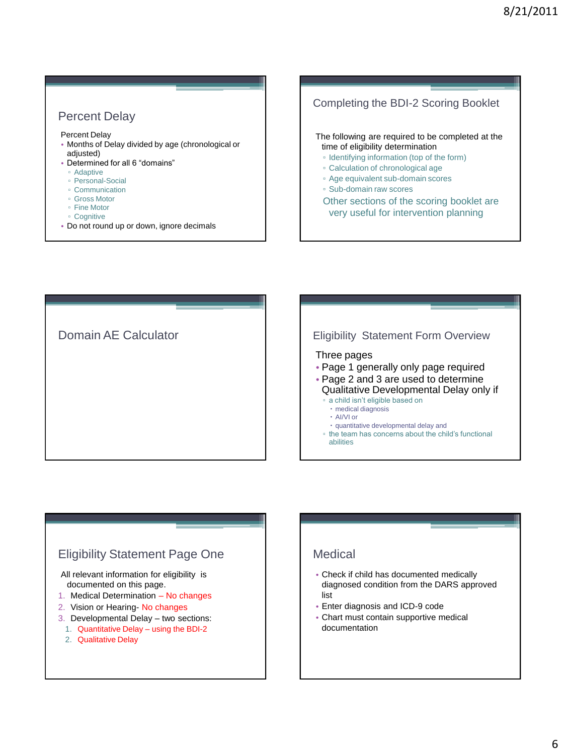### Percent Delay

Percent Delay

- Months of Delay divided by age (chronological or adjusted)
- Determined for all 6 "domains"
	- Adaptive
	- Personal-Social
- Communication
- Gross Motor
- Fine Motor
- Cognitive
- Do not round up or down, ignore decimals

### Completing the BDI-2 Scoring Booklet

The following are required to be completed at the time of eligibility determination

- Identifying information (top of the form)
- Calculation of chronological age
- Age equivalent sub-domain scores
- Sub-domain raw scores
- Other sections of the scoring booklet are very useful for intervention planning

Domain AE Calculator **Eligibility Statement Form Overview** 

#### Three pages

- Page 1 generally only page required
- Page 2 and 3 are used to determine Qualitative Developmental Delay only if
	- a child isn't eligible based on
		- medical diagnosis
		- AI/VI or
		- quantitative developmental delay and
	- the team has concerns about the child's functional abilities

### Eligibility Statement Page One

All relevant information for eligibility is documented on this page.

- 1. Medical Determination No changes
- 2. Vision or Hearing- No changes
- 3. Developmental Delay two sections:
	- 1. Quantitative Delay using the BDI-2
	- 2. Qualitative Delay

### Medical

- Check if child has documented medically diagnosed condition from the DARS approved list
- Enter diagnosis and ICD-9 code
- Chart must contain supportive medical documentation